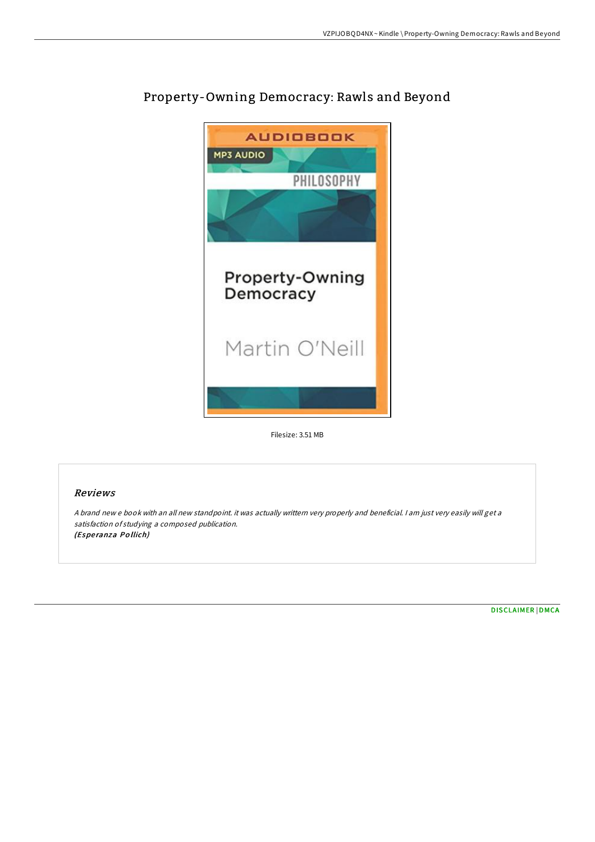

# Property-Owning Democracy: Rawls and Beyond

Filesize: 3.51 MB

## Reviews

<sup>A</sup> brand new <sup>e</sup> book with an all new standpoint. it was actually writtern very properly and beneficial. <sup>I</sup> am just very easily will get <sup>a</sup> satisfaction of studying <sup>a</sup> composed publication. (Esperanza Pollich)

[DISCLAIMER](http://almighty24.tech/disclaimer.html) | [DMCA](http://almighty24.tech/dmca.html)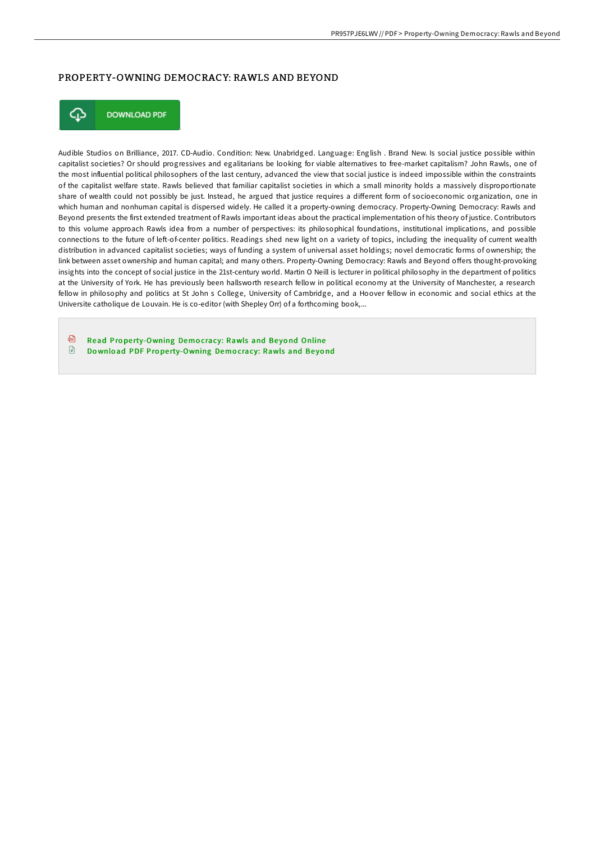### PROPERTY-OWNING DEMOCRACY: RAWLS AND BEYOND



**DOWNLOAD PDF** 

Audible Studios on Brilliance, 2017. CD-Audio. Condition: New. Unabridged. Language: English . Brand New. Is social justice possible within capitalist societies? Or should progressives and egalitarians be looking for viable alternatives to free-market capitalism? John Rawls, one of the most influential political philosophers of the last century, advanced the view that social justice is indeed impossible within the constraints of the capitalist welfare state. Rawls believed that familiar capitalist societies in which a small minority holds a massively disproportionate share of wealth could not possibly be just. Instead, he argued that justice requires a diFerent form of socioeconomic organization, one in which human and nonhuman capital is dispersed widely. He called it a property-owning democracy. Property-Owning Democracy: Rawls and Beyond presents the first extended treatment of Rawls important ideas about the practical implementation of his theory of justice. Contributors to this volume approach Rawls idea from a number of perspectives: its philosophical foundations, institutional implications, and possible connections to the future of leI-of-center politics. Readings shed new light on a variety of topics, including the inequality of current wealth distribution in advanced capitalist societies; ways of funding a system of universal asset holdings; novel democratic forms of ownership; the link between asset ownership and human capital; and many others. Property-Owning Democracy: Rawls and Beyond oFers thought-provoking insights into the concept of social justice in the 21st-century world. Martin O Neill is lecturer in political philosophy in the department of politics at the University of York. He has previously been hallsworth research fellow in political economy at the University of Manchester, a research fellow in philosophy and politics at St John s College, University of Cambridge, and a Hoover fellow in economic and social ethics at the Universite catholique de Louvain. He is co-editor (with Shepley Orr) of a forthcoming book,...

品 Read Prope[rty-Owning](http://almighty24.tech/property-owning-democracy-rawls-and-beyond.html) Democracy: Rawls and Bevond Online  $\Box$ Download PDF Prope[rty-Owning](http://almighty24.tech/property-owning-democracy-rawls-and-beyond.html) Democracy: Rawls and Beyond